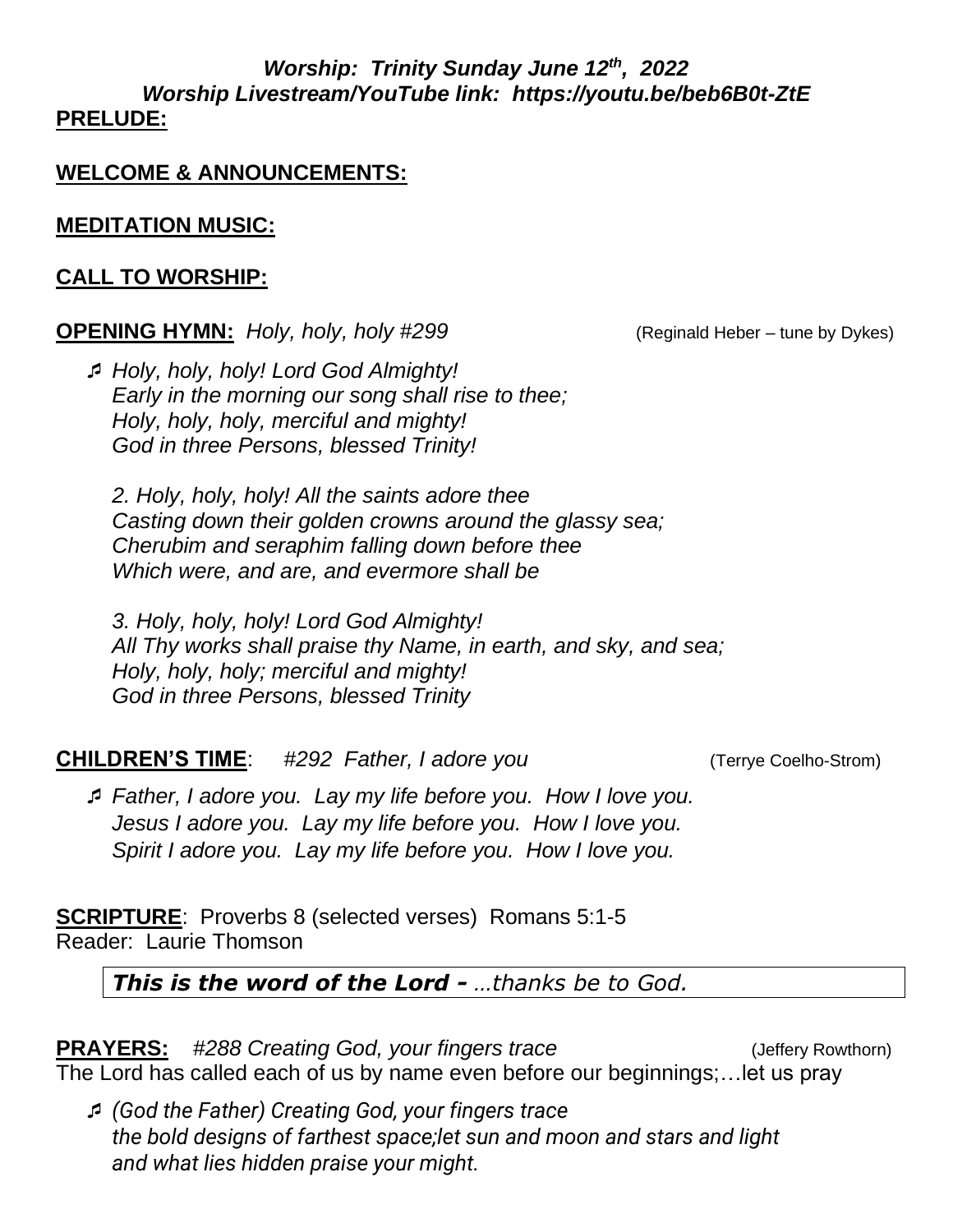#### *Worship: Trinity Sunday June 12th , 2022 Worship Livestream/YouTube link: https://youtu.be/beb6B0t-ZtE*  **PRELUDE:**

## **WELCOME & ANNOUNCEMENTS:**

## **MEDITATION MUSIC:**

## **CALL TO WORSHIP:**

### **OPENING HYMN:** *Holy, holy, holy #299* (Reginald Heber – tune by Dykes)

 *Holy, holy, holy! Lord God Almighty! Early in the morning our song shall rise to thee; Holy, holy, holy, merciful and mighty! God in three Persons, blessed Trinity!*

*2. Holy, holy, holy! All the saints adore thee Casting down their golden crowns around the glassy sea; Cherubim and seraphim falling down before thee Which were, and are, and evermore shall be*

*3. Holy, holy, holy! Lord God Almighty! All Thy works shall praise thy Name, in earth, and sky, and sea; Holy, holy, holy; merciful and mighty! God in three Persons, blessed Trinity* 

## **CHILDREN'S TIME**: *#292 Father, I adore you* (Terrye Coelho-Strom)

 *Father, I adore you. Lay my life before you. How I love you. Jesus I adore you. Lay my life before you. How I love you. Spirit I adore you. Lay my life before you. How I love you.*

**SCRIPTURE**: Proverbs 8 (selected verses) Romans 5:1-5 Reader: Laurie Thomson

# *This is the word of the Lord - …thanks be to God.*

**PRAYERS:** #288 Creating God, your fingers trace (Jeffery Rowthorn) The Lord has called each of us by name even before our beginnings;…let us pray

 *(God the Father) Creating God, your fingers trace the bold designs of farthest space;let sun and moon and stars and light and what lies hidden praise your might.*